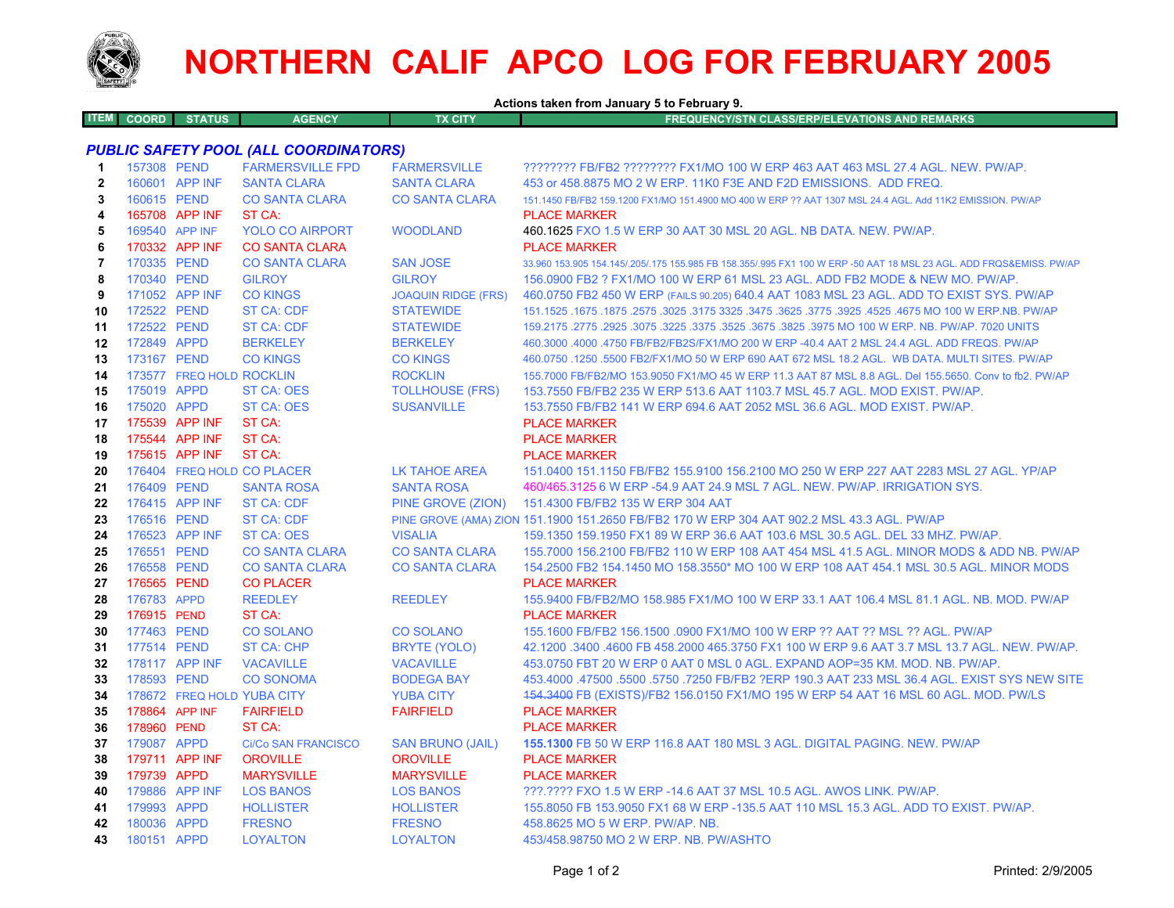

## **NORTHERN CALIF APCO LOG FOR FEBRUARY 2005**

|                                              |                            |                          |                                       |                                         | Actions taken from January 5 to February 9.                                                                                                                                 |  |  |  |
|----------------------------------------------|----------------------------|--------------------------|---------------------------------------|-----------------------------------------|-----------------------------------------------------------------------------------------------------------------------------------------------------------------------------|--|--|--|
| <b>ITEM</b>                                  | <b>COORD</b>               | <b>STATUS</b>            | <b>AGENCY</b>                         | <b>TX CITY</b>                          | <b>FREQUENCY/STN CLASS/ERP/ELEVATIONS AND REMARKS</b>                                                                                                                       |  |  |  |
| <b>PUBLIC SAFETY POOL (ALL COORDINATORS)</b> |                            |                          |                                       |                                         |                                                                                                                                                                             |  |  |  |
| 1                                            | 157308 PEND                |                          | <b>FARMERSVILLE FPD</b>               | <b>FARMERSVILLE</b>                     | ???????? FB/FB2 ???????? FX1/MO 100 W ERP 463 AAT 463 MSL 27.4 AGL. NEW. PW/AP.                                                                                             |  |  |  |
| $\mathbf{2}$                                 |                            | 160601 APP INF           | <b>SANTA CLARA</b>                    | <b>SANTA CLARA</b>                      | 453 or 458,8875 MO 2 W ERP, 11K0 F3E AND F2D EMISSIONS. ADD FREQ.                                                                                                           |  |  |  |
| 3                                            | 160615 PEND                |                          | <b>CO SANTA CLARA</b>                 | <b>CO SANTA CLARA</b>                   | 151.1450 FB/FB2 159.1200 FX1/MO 151.4900 MO 400 W ERP ?? AAT 1307 MSL 24.4 AGL, Add 11K2 EMISSION, PW/AP                                                                    |  |  |  |
| 4                                            |                            | 165708 APP INF           | ST CA:                                |                                         | <b>PLACE MARKER</b>                                                                                                                                                         |  |  |  |
| 5                                            |                            | 169540 APP INF           | <b>YOLO CO AIRPORT</b>                | <b>WOODLAND</b>                         | 460.1625 FXO 1.5 W ERP 30 AAT 30 MSL 20 AGL. NB DATA. NEW. PW/AP.                                                                                                           |  |  |  |
| 6                                            |                            | 170332 APP INF           | <b>CO SANTA CLARA</b>                 |                                         | <b>PLACE MARKER</b>                                                                                                                                                         |  |  |  |
| $\overline{7}$                               | 170335 PEND                |                          | <b>CO SANTA CLARA</b>                 | <b>SAN JOSE</b>                         | 33.960 153.905 154.145/.205/.175 155.985 FB 158.355/.995 FX1 100 W ERP -50 AAT 18 MSL 23 AGL. ADD FRQS&EMISS. PW/AP                                                         |  |  |  |
| 8                                            | 170340 PEND                |                          | <b>GILROY</b>                         | <b>GILROY</b>                           | 156.0900 FB2 ? FX1/MO 100 W ERP 61 MSL 23 AGL. ADD FB2 MODE & NEW MO. PW/AP.                                                                                                |  |  |  |
| 9                                            |                            | 171052 APP INF           | <b>CO KINGS</b>                       | <b>JOAQUIN RIDGE (FRS)</b>              | 460.0750 FB2 450 W ERP (FAILS 90.205) 640.4 AAT 1083 MSL 23 AGL. ADD TO EXIST SYS. PW/AP                                                                                    |  |  |  |
| 10                                           | 172522 PEND                |                          | <b>ST CA: CDF</b>                     | <b>STATEWIDE</b>                        | 151.1525 .1675 .1875 .2575 .3025 .3475 .3625 .3775 .3625 .3775 .3925 .4525 .4675 MO 100 W ERP.NB. PW/AP                                                                     |  |  |  |
| 11                                           | 172522 PEND                |                          | <b>ST CA: CDF</b>                     | <b>STATEWIDE</b>                        | 159.2175 .2775 .2925 .3075 .3225 .3675 .3675 .3825 .3975 MO 100 W ERP. NB. PW/AP. 7020 UNITS                                                                                |  |  |  |
| 12                                           | 172849 APPD                |                          | <b>BERKELEY</b>                       | <b>BERKELEY</b>                         | 460.3000 .4000 .4750 FB/FB2/FB2S/FX1/MO 200 W ERP -40.4 AAT 2 MSL 24.4 AGL. ADD FREQS. PW/AP                                                                                |  |  |  |
| 13                                           | 173167 PEND                |                          | <b>CO KINGS</b>                       | <b>CO KINGS</b>                         | 460.0750 .1250 .5500 FB2/FX1/MO 50 W ERP 690 AAT 672 MSL 18.2 AGL. WB DATA. MULTI SITES. PW/AP                                                                              |  |  |  |
| 14                                           |                            | 173577 FREQ HOLD ROCKLIN |                                       | <b>ROCKLIN</b>                          | 155.7000 FB/FB2/MO 153.9050 FX1/MO 45 W ERP 11.3 AAT 87 MSL 8.8 AGL. Del 155.5650. Conv to fb2. PW/AP                                                                       |  |  |  |
| 15                                           | 175019 APPD                |                          | <b>ST CA: OES</b>                     | <b>TOLLHOUSE (FRS)</b>                  | 153.7550 FB/FB2 235 W ERP 513.6 AAT 1103.7 MSL 45.7 AGL, MOD EXIST, PW/AP.                                                                                                  |  |  |  |
| 16                                           | 175020 APPD                |                          | <b>ST CA: OES</b>                     | <b>SUSANVILLE</b>                       | 153.7550 FB/FB2 141 W ERP 694.6 AAT 2052 MSL 36.6 AGL. MOD EXIST. PW/AP.                                                                                                    |  |  |  |
| 17                                           |                            | 175539 APP INF           | ST CA:                                |                                         | <b>PLACE MARKER</b>                                                                                                                                                         |  |  |  |
| 18                                           |                            | 175544 APP INF           | ST CA:                                |                                         | <b>PLACE MARKER</b>                                                                                                                                                         |  |  |  |
| 19                                           |                            | 175615 APP INF           | ST CA:                                |                                         | <b>PLACE MARKER</b>                                                                                                                                                         |  |  |  |
| 20                                           |                            |                          | 176404 FREQ HOLD CO PLACER            | <b>LK TAHOE AREA</b>                    | 151.0400 151.1150 FB/FB2 155.9100 156.2100 MO 250 W ERP 227 AAT 2283 MSL 27 AGL, YP/AP                                                                                      |  |  |  |
| 21                                           | 176409 PEND                |                          | <b>SANTA ROSA</b>                     | <b>SANTA ROSA</b>                       | 460/465.3125 6 W ERP -54.9 AAT 24.9 MSL 7 AGL. NEW. PW/AP. IRRIGATION SYS.                                                                                                  |  |  |  |
| 22                                           |                            | 176415 APP INF           | ST CA: CDF                            | PINE GROVE (ZION)                       | 151.4300 FB/FB2 135 W ERP 304 AAT                                                                                                                                           |  |  |  |
| 23                                           | 176516 PEND                |                          | ST CA: CDF                            |                                         | PINE GROVE (AMA) ZION 151.1900 151.2650 FB/FB2 170 W ERP 304 AAT 902.2 MSL 43.3 AGL. PW/AP                                                                                  |  |  |  |
| 24                                           |                            | 176523 APP INF           | <b>ST CA: OES</b>                     | <b>VISALIA</b>                          | 159.1350 159.1950 FX1 89 W ERP 36.6 AAT 103.6 MSL 30.5 AGL. DEL 33 MHZ. PW/AP.                                                                                              |  |  |  |
| 25                                           | 176551 PEND                |                          | <b>CO SANTA CLARA</b>                 | <b>CO SANTA CLARA</b>                   | 155.7000 156.2100 FB/FB2 110 W ERP 108 AAT 454 MSL 41.5 AGL. MINOR MODS & ADD NB. PW/AP                                                                                     |  |  |  |
| 26                                           | 176558 PEND                |                          | <b>CO SANTA CLARA</b>                 | <b>CO SANTA CLARA</b>                   | 154.2500 FB2 154.1450 MO 158.3550* MO 100 W ERP 108 AAT 454.1 MSL 30.5 AGL. MINOR MODS                                                                                      |  |  |  |
| 27                                           | 176565 PEND                |                          | <b>CO PLACER</b>                      |                                         | <b>PLACE MARKER</b>                                                                                                                                                         |  |  |  |
| 28                                           | 176783 APPD                |                          | <b>REEDLEY</b>                        | <b>REEDLEY</b>                          | 155.9400 FB/FB2/MO 158.985 FX1/MO 100 W ERP 33.1 AAT 106.4 MSL 81.1 AGL. NB. MOD. PW/AP                                                                                     |  |  |  |
| 29                                           | 176915 PEND                |                          | ST CA:                                |                                         | <b>PLACE MARKER</b>                                                                                                                                                         |  |  |  |
| 30<br>31                                     | 177463 PEND<br>177514 PEND |                          | <b>CO SOLANO</b><br><b>ST CA: CHP</b> | <b>CO SOLANO</b>                        | 155.1600 FB/FB2 156.1500 .0900 FX1/MO 100 W ERP ?? AAT ?? MSL ?? AGL. PW/AP<br>42.1200 .3400 .4600 FB 458.2000 465.3750 FX1 100 W ERP 9.6 AAT 3.7 MSL 13.7 AGL. NEW. PW/AP. |  |  |  |
| 32                                           |                            | 178117 APP INF           | <b>VACAVILLE</b>                      | <b>BRYTE (YOLO)</b><br><b>VACAVILLE</b> | 453.0750 FBT 20 W ERP 0 AAT 0 MSL 0 AGL. EXPAND AOP=35 KM, MOD, NB, PW/AP,                                                                                                  |  |  |  |
| 33                                           | 178593 PEND                |                          | <b>CO SONOMA</b>                      | <b>BODEGA BAY</b>                       | 453.4000 .47500 .5500 .5750 .7250 FB/FB2 ?ERP 190.3 AAT 233 MSL 36.4 AGL. EXIST SYS NEW SITE                                                                                |  |  |  |
| 34                                           |                            |                          | 178672 FREQ HOLD YUBA CITY            | <b>YUBA CITY</b>                        | 154.3400 FB (EXISTS)/FB2 156.0150 FX1/MO 195 W ERP 54 AAT 16 MSL 60 AGL. MOD. PW/LS                                                                                         |  |  |  |
| 35                                           | 178864 APP INF             |                          | <b>FAIRFIELD</b>                      | <b>FAIRFIELD</b>                        | <b>PLACE MARKER</b>                                                                                                                                                         |  |  |  |
| 36                                           | 178960 PEND                |                          | ST CA:                                |                                         | <b>PLACE MARKER</b>                                                                                                                                                         |  |  |  |
| 37                                           | 179087 APPD                |                          | <b>Ci/Co SAN FRANCISCO</b>            | <b>SAN BRUNO (JAIL)</b>                 | 155.1300 FB 50 W ERP 116.8 AAT 180 MSL 3 AGL, DIGITAL PAGING, NEW, PW/AP                                                                                                    |  |  |  |
| 38                                           |                            | 179711 APP INF           | <b>OROVILLE</b>                       | <b>OROVILLE</b>                         | <b>PLACE MARKER</b>                                                                                                                                                         |  |  |  |
| 39                                           | 179739 APPD                |                          | <b>MARYSVILLE</b>                     | <b>MARYSVILLE</b>                       | <b>PLACE MARKER</b>                                                                                                                                                         |  |  |  |
| 40                                           |                            | 179886 APP INF           | <b>LOS BANOS</b>                      | <b>LOS BANOS</b>                        | ???.???? FXO 1.5 W ERP -14.6 AAT 37 MSL 10.5 AGL. AWOS LINK. PW/AP.                                                                                                         |  |  |  |
| 41                                           | 179993 APPD                |                          | <b>HOLLISTER</b>                      | <b>HOLLISTER</b>                        | 155,8050 FB 153,9050 FX1 68 W ERP -135,5 AAT 110 MSL 15.3 AGL, ADD TO EXIST, PW/AP,                                                                                         |  |  |  |
| 42                                           | 180036 APPD                |                          | <b>FRESNO</b>                         | <b>FRESNO</b>                           | 458,8625 MO 5 W ERP, PW/AP, NB.                                                                                                                                             |  |  |  |
| 43                                           | 180151 APPD                |                          | <b>LOYALTON</b>                       | <b>LOYALTON</b>                         | 453/458.98750 MO 2 W ERP. NB. PW/ASHTO                                                                                                                                      |  |  |  |